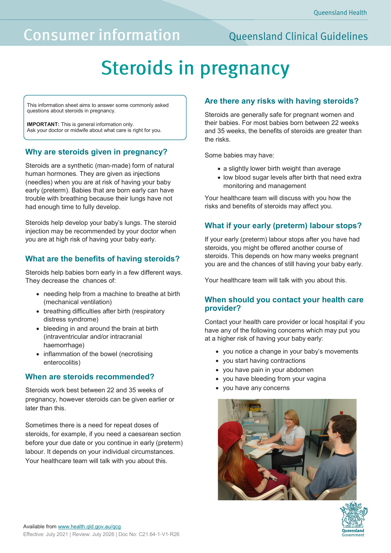## **Consumer information**

### **Oueensland Clinical Guidelines**

# **Steroids in pregnancy**

This information sheet aims to answer some commonly asked questions about steroids in pregnancy.

**IMPORTANT:** This is general information only. Ask your doctor or midwife about what care is right for you.

#### **Why are steroids given in pregnancy?**

Steroids are a synthetic (man-made) form of natural human hormones. They are given as injections (needles) when you are at risk of having your baby early (preterm). Babies that are born early can have trouble with breathing because their lungs have not had enough time to fully develop.

Steroids help develop your baby's lungs. The steroid injection may be recommended by your doctor when you are at high risk of having your baby early.

#### **What are the benefits of having steroids?**

Steroids help babies born early in a few different ways. They decrease the chances of:

- needing help from a machine to breathe at birth (mechanical ventilation)
- breathing difficulties after birth (respiratory distress syndrome)
- bleeding in and around the brain at birth (intraventricular and/or intracranial haemorrhage)
- inflammation of the bowel (necrotising enterocolitis)

#### **When are steroids recommended?**

Steroids work best between 22 and 35 weeks of pregnancy, however steroids can be given earlier or later than this.

Sometimes there is a need for repeat doses of steroids, for example, if you need a caesarean section before your due date or you continue in early (preterm) labour. It depends on your individual circumstances. Your healthcare team will talk with you about this.

#### **Are there any risks with having steroids?**

Steroids are generally safe for pregnant women and their babies. For most babies born between 22 weeks and 35 weeks, the benefits of steroids are greater than the risks.

Some babies may have:

- a slightly lower birth weight than average
- low blood sugar levels after birth that need extra monitoring and management

Your healthcare team will discuss with you how the risks and benefits of steroids may affect you.

#### **What if your early (preterm) labour stops?**

If your early (preterm) labour stops after you have had steroids, you might be offered another course of steroids. This depends on how many weeks pregnant you are and the chances of still having your baby early.

Your healthcare team will talk with you about this.

#### **When should you contact your health care provider?**

Contact your health care provider or local hospital if you have any of the following concerns which may put you at a higher risk of having your baby early:

- you notice a change in your baby's movements
- you start having contractions
- you have pain in your abdomen
- you have bleeding from your vagina
- you have any concerns